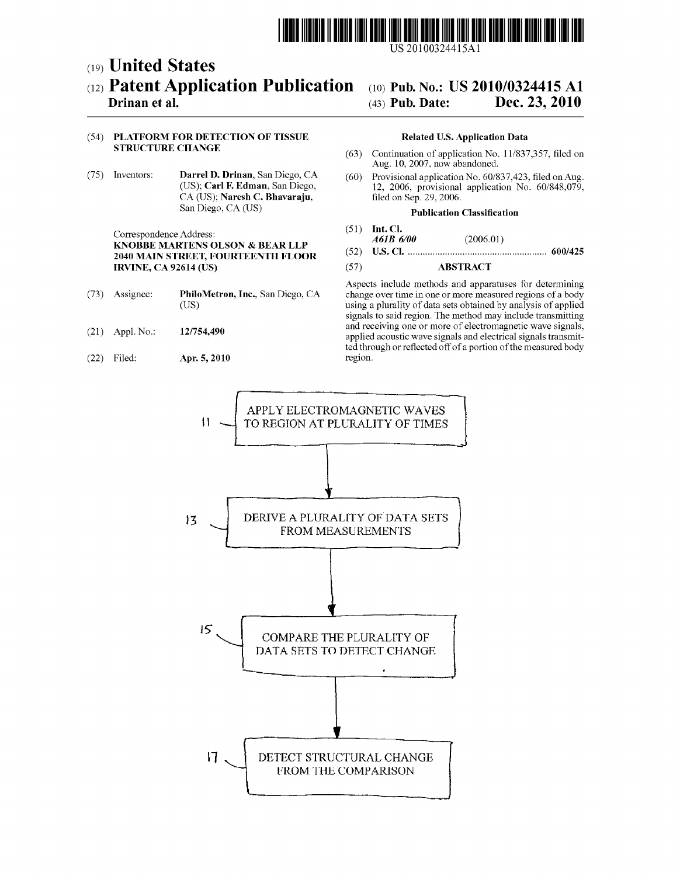

US 20100324415A1

# (19) United States (12) Patent Application Publication (10) Pub. No.: US 2010/0324415 A1<br>Drinan et al. (43) Pub. Date: Dec. 23, 2010

# Dec. 23, 2010

# (54) PLATFORM FOR DETECTION OF TISSUE STRUCTURE CHANGE

(75) Inventors: Darrel D. Drinan, San Diego, CA (US); Carl F. Edman, San Diego, CA (US); Naresh C. Bhavaraju, San Diego, CA (US)

> Correspondence Address: KNOBBE MARTENS OLSON & BEAR LLP 2040 MAINSTREET, FOURTEENTH FLOOR IRVINE, CA 92614 (US)

- (73) Assignee: PhiloMetron, Inc., San Diego, CA (US)
- (21) Appl. No.: 12/754,490
- (22) Filed: Apr. 5, 2010

#### Related U.S. Application Data

- (63) Continuation of application No. 1 1/837,357, filed on Aug. 10, 2007, now abandoned.<br>Provisional application No. 60/837,423, filed on Aug.
- (60) Provisional application No. 60/837,423, filed on Aug. 12, 2006, provisional application No. 60/848,079, filed on Sep. 29, 2006.

### Publication Classification

- (51) Int. Cl.
- A6IB 6/00 (2006.01)
- (52) U.S. Cl. ........................................................ 6OO/425

# (57) ABSTRACT

Aspects include methods and apparatuses for determining change over time in one or more measured regions of a body using a plurality of data sets obtained by analysis of applied<br>signals to said region. The method may include transmitting<br>and receiving one or more of electromagnetic wave signals,<br>applied acoustic wave signals and electr ted through or reflected off of a portion of the measured body region.

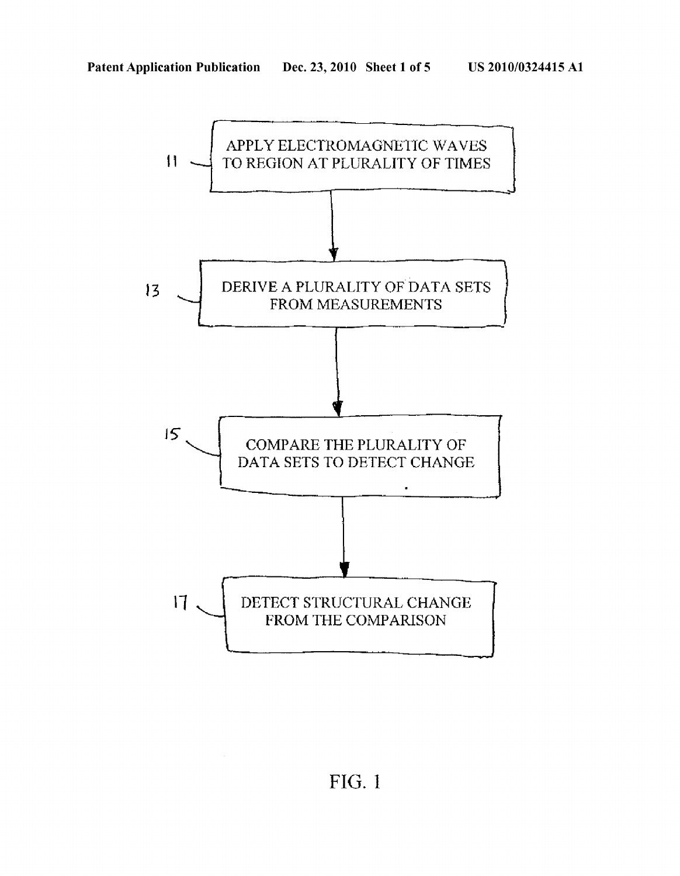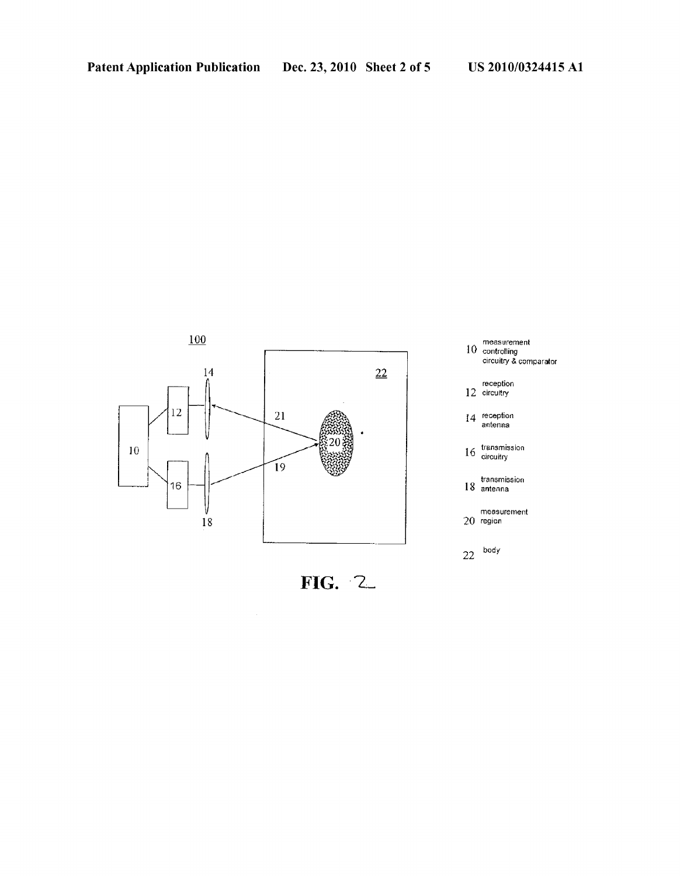measuremen<br>0 controlling

reception 12 circuitry

14 reception<br>antenna

18 antenna<br>18 antenna

20 region

22 body

measurement

circuitry & comparator



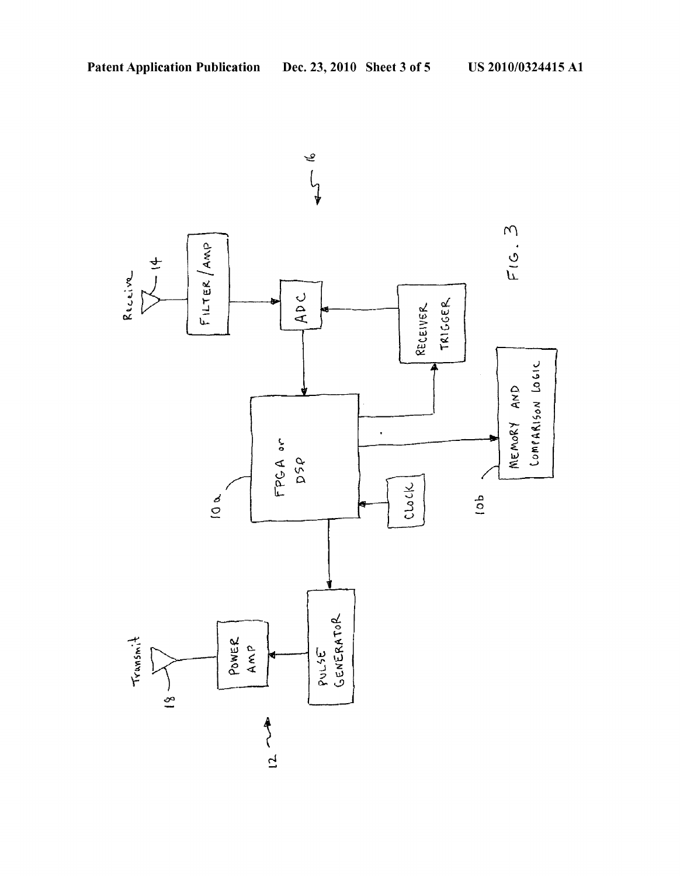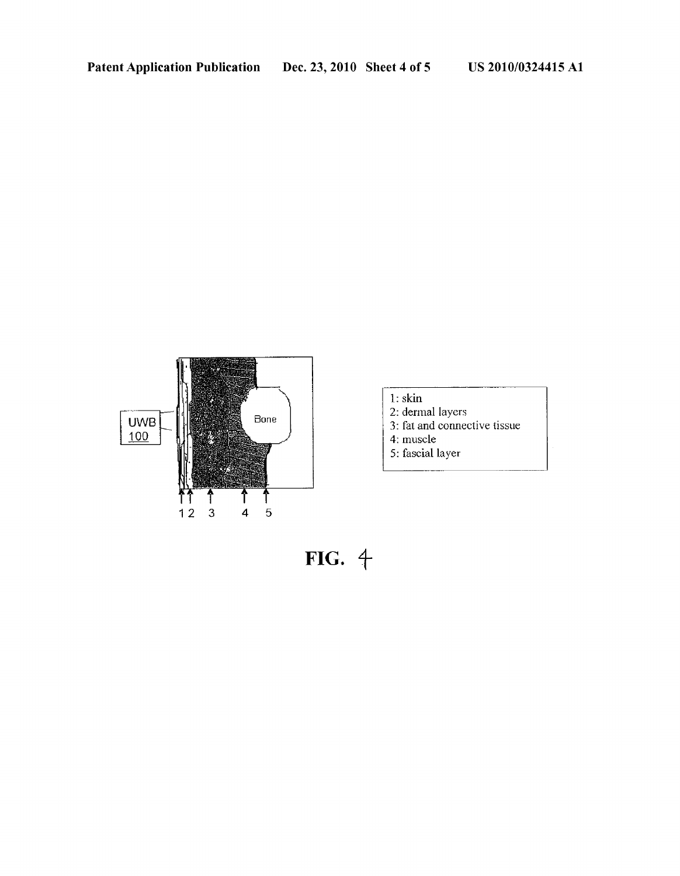



- 2: dermal layers
- 3: fat and connective tissue
- 4: muscle
- 5: fascial layer

FIG. 4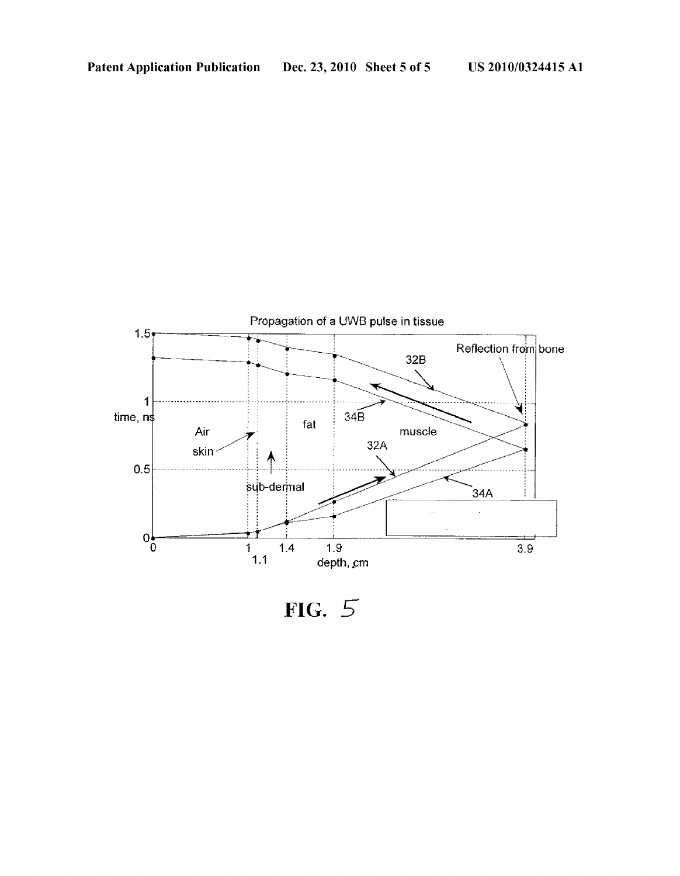

FIG. 5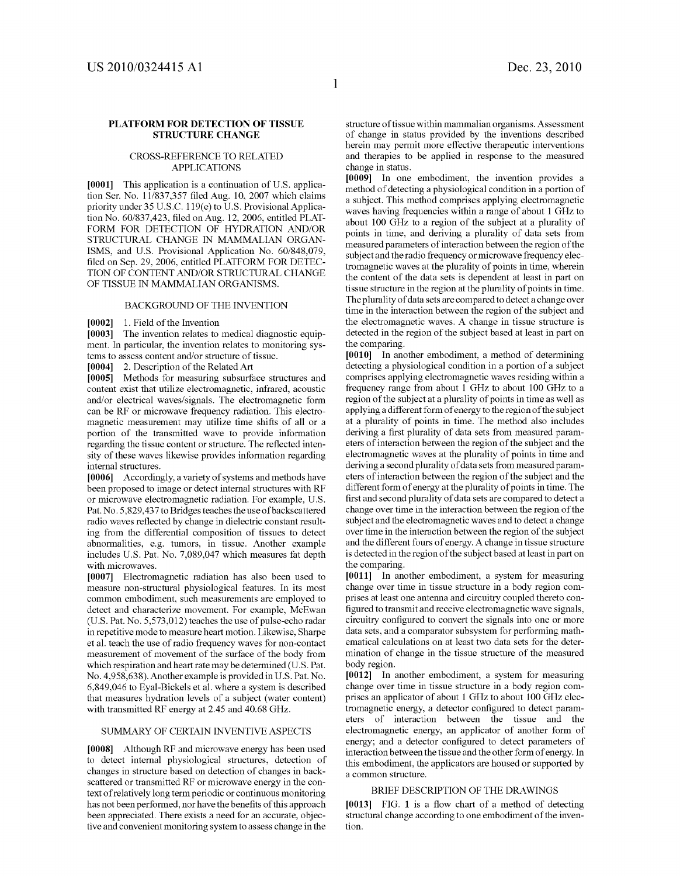# PLATFORM FOR DETECTION OF TISSUE **STRUCTURE CHANGE**

# CROSS-REFERENCE TO RELATED **APPLICATIONS**

[0001] This application is a continuation of U.S. application Ser. No. 11/837,357 filed Aug. 10, 2007 which claims priority under 35 U.S.C. 119(e) to U.S. Provisional Application No. 60/837,423, filed on Aug. 12, 2006, entitled PLAT-FORM FOR DETECTION OF HYDRATION AND/OR STRUCTURAL CHANGE IN MAMMALIAN ORGAN-ISMS, and U.S. Provisional Application No. 60/848,079, filed on Sep. 29, 2006, entitled PLATFORM FOR DETEC-TION OF CONTENT AND/OR STRUCTURAL CHANGE OF TISSUE IN MAMMALIAN ORGANISMS.

# BACKGROUND OF THE INVENTION

 $[0002]$ 1. Field of the Invention

[0003] The invention relates to medical diagnostic equipment. In particular, the invention relates to monitoring systems to assess content and/or structure of tissue.

[0004] 2. Description of the Related Art

[0005] Methods for measuring subsurface structures and content exist that utilize electromagnetic, infrared, acoustic and/or electrical waves/signals. The electromagnetic form can be RF or microwave frequency radiation. This electromagnetic measurement may utilize time shifts of all or a portion of the transmitted wave to provide information regarding the tissue content or structure. The reflected intensity of these waves likewise provides information regarding internal structures.

[0006] Accordingly, a variety of systems and methods have been proposed to image or detect internal structures with RF or microwave electromagnetic radiation. For example, U.S. Pat. No. 5,829,437 to Bridges teaches the use of backscattered radio waves reflected by change in dielectric constant resulting from the differential composition of tissues to detect abnormalities, e.g. tumors, in tissue. Another example includes U.S. Pat. No. 7,089,047 which measures fat depth with microwaves.

[0007] Electromagnetic radiation has also been used to measure non-structural physiological features. In its most common embodiment, such measurements are employed to detect and characterize movement. For example, McEwan (U.S. Pat. No. 5,573,012) teaches the use of pulse-echo radar in repetitive mode to measure heart motion. Likewise, Sharpe et al. teach the use of radio frequency waves for non-contact measurement of movement of the surface of the body from which respiration and heart rate may be determined (U.S. Pat. No. 4,958,638). Another example is provided in U.S. Pat. No. 6,849,046 to Eyal-Bickels et al. where a system is described that measures hydration levels of a subject (water content) with transmitted RF energy at 2.45 and 40.68 GHz.

## SUMMARY OF CERTAIN INVENTIVE ASPECTS

[0008] Although RF and microwave energy has been used to detect internal physiological structures, detection of changes in structure based on detection of changes in backscattered or transmitted RF or microwave energy in the context of relatively long term periodic or continuous monitoring has not been performed, nor have the benefits of this approach been appreciated. There exists a need for an accurate, objective and convenient monitoring system to assess change in the structure of tissue within mammalian organisms. Assessment of change in status provided by the inventions described herein may permit more effective therapeutic interventions and therapies to be applied in response to the measured change in status.

[0009] In one embodiment, the invention provides a method of detecting a physiological condition in a portion of a subject. This method comprises applying electromagnetic waves having frequencies within a range of about 1 GHz to about 100 GHz to a region of the subject at a plurality of points in time, and deriving a plurality of data sets from measured parameters of interaction between the region of the subject and the radio frequency or microwave frequency electromagnetic waves at the plurality of points in time, wherein the content of the data sets is dependent at least in part on tissue structure in the region at the plurality of points in time. The plurality of data sets are compared to detect a change over time in the interaction between the region of the subject and the electromagnetic waves. A change in tissue structure is detected in the region of the subject based at least in part on the comparing.

[0010] In another embodiment, a method of determining detecting a physiological condition in a portion of a subject comprises applying electromagnetic waves residing within a frequency range from about 1 GHz to about 100 GHz to a region of the subject at a plurality of points in time as well as applying a different form of energy to the region of the subject at a plurality of points in time. The method also includes deriving a first plurality of data sets from measured parameters of interaction between the region of the subject and the electromagnetic waves at the plurality of points in time and deriving a second plurality of data sets from measured parameters of interaction between the region of the subject and the different form of energy at the plurality of points in time. The first and second plurality of data sets are compared to detect a change over time in the interaction between the region of the subject and the electromagnetic waves and to detect a change over time in the interaction between the region of the subject and the different fours of energy. A change in tissue structure is detected in the region of the subject based at least in part on the comparing.

[0011] In another embodiment, a system for measuring change over time in tissue structure in a body region comprises at least one antenna and circuitry coupled thereto configured to transmit and receive electromagnetic wave signals, circuitry configured to convert the signals into one or more data sets, and a comparator subsystem for performing mathematical calculations on at least two data sets for the determination of change in the tissue structure of the measured body region.

[0012] In another embodiment, a system for measuring change over time in tissue structure in a body region comprises an applicator of about 1 GHz to about 100 GHz electromagnetic energy, a detector configured to detect parameters of interaction between the tissue and the electromagnetic energy, an applicator of another form of energy; and a detector configured to detect parameters of interaction between the tissue and the other form of energy. In this embodiment, the applicators are housed or supported by a common structure.

#### BRIEF DESCRIPTION OF THE DRAWINGS

[0013] FIG. 1 is a flow chart of a method of detecting structural change according to one embodiment of the invention.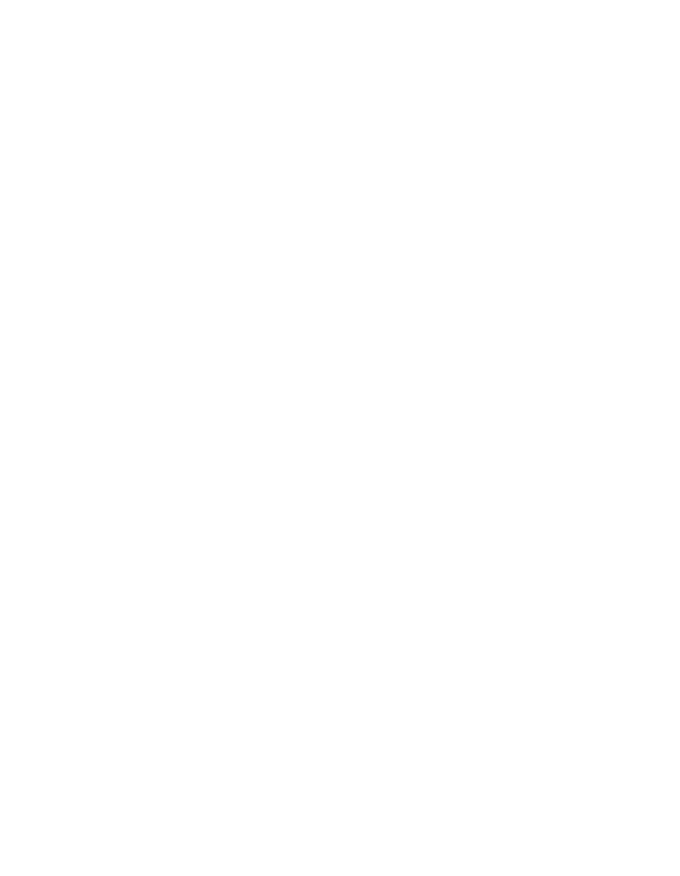[0014] FIG.  $2$  is a schematic representation of an embodiment of a measuring system in accordance with one embodiment of the invention.

[0015] FIG.  $3$  is a block diagram of a measuring system in accordance with one embodiment of the invention.

[0016] FIG. 4 is an illustration of a body limb section with a UWB device such as, for example, the device illustrated in FIG. 1, affixed to a surface of tissue.

[0017] FIG. 5 is an illustration of a slowing effect of a 120 ps UWB pulse due to fluid change in tissue.

## DETAILED DESCRIPTION OF CERTAIN **INVENTIVE EMBODIMENTS**

[0018] The invention will now be described in association with the above described Figures, where like numerals refer to like elements. Furthermore, in the discussion that follows, the following definitions are applicable.

[0019] Body—a portion or all of the torso, arms, legs, head or neck of a subject, including any or all of the exterior and/or interior of the body.

[0020] Bioparameter-a physical factor associated with a body or user able to be measured and quantified.

[0021] Subject—a mammal being measured using the method or devices of the invention.

[0022] General Aspects of the Inventions

[0023] Aspects of the invention relate to structural change detection based on changes in a measured interaction between a portion of a measured subject and applied electromagnetic waves. Accordingly, one aspect of the invention provides a method of periodically or continuously interrogating a tissue region of interest with electromagnetic waves to determine if the structure of the tissue has changed over time, or is different than a baseline structure that produced a baseline interrogation "signature" stored in memory. Various forms of electromagnetic waves can be compared to the baseline with the use of a comparator for determination of regional changes over time of body structures of mammalian bodies. The changes may be on the surface, beneath the surface or span the surface to the subsurface of the measured body region. In one embodiment of the invention, electromagnetic waves based upon ultra wideband (UWB) radar technology are used. In alternate embodiments of the invention, bands of one or more other frequencies may be applied to the body for the determination of change. The measured values arising from the signal are incorporated into a data set representing the status of the region at a certain time point. These data sets may then be stored for future comparison to data sets of measurements taken at other times to determine change in the properties or characteristics of a tissue or region being measured. It is an important aim of the invention to detect structural changes in the tissue (e.g. tumor growth, vascular system changes) rather than merely non-structural chemical content changes or non-structural physical changes such as temperature change. It will be appreciated, however, that content changes and the like can in some cases cause structural change. As described below, therefore, it can be beneficial in some embodiments to use more than one interrogation modality to provide information about whether measured changes in electromagnetic wave interaction is due to structural change, non-structural change, or both.

[0024] In another aspect of the invention, circuitry, a power supply and a transceiver for delivering and receiving the electromagnetic energy for construction of the measurement data set are contained either wholly or in part in a structure,

e.g. a patch, affixed to or implanted within the body. In an alternate embodiment of the invention, the circuitry and transceiver for measuring signals are contained in a structure not affixed to the body. The non-affixed structure may be hand held or otherwise supported to permit the measurement activity. Such supports may include inclusion of one or more devices into fixed structures present in the living space of measured subject, i.e. within beds, closets, bathrooms, etc., thereby permitting unobtrusive measurements to be obtained periodically without disruption of lifestyle or activities.

[0025] In some embodiments of the invention, guidance for measurements and/or comparator activities may be utilized to aid determination of location of specific regions or targets of measurements. Guidance may be provided in the form of comparative mapping utilizing anatomical landmarks and/or active or passive fiducial marks or devices.

[0026] The measurement devices may store information relating to the measurement event, e.g. time, or signal data, for later retrieval and analysis. In addition, the measurement devices may have in part or in whole comparators allowing processing of raw data, e.g. mathematical transforms, for the purpose of facilitating storage, transmittal or display of the signal data.

 $[0027]$  In one embodiment of the invention, the electromagnetic data sets are combined and utilized by the comparator with other physiological measurements, e.g. optical, electrical or mechanical, to provide greater insight into changes of the body region being measured. These other physiological measurements may include, but are not limited to, temperature, body weight, bioelectric impedance, or optical, e.g. infrared, measurements. These additional measurements may be especially valuable in detecting changes in content of tissue (e.g. water content or hydration) that will cause changes in the RF or microwave signals but that are not related to structural changes in the tissue.

[0028] In other embodiments of the invention, the data set may be combined and used by the comparator with other measurements of physiological status, including but not limited to, nutritional and/or medical history, subjective responses to questions, diagnostic test results, e.g. blood composition analysis or urinalysis, to provide fuller assessment of possible changes in the region being measured.

[0029] In still other embodiments of the invention, one or more of the applied signals, e.g. radio frequency, optical or impedance, may be utilized for purposes of identification either of applied materials or devices on or within the mammalian body and/or for the purpose of identification of the mammalian body. This identification may be useful for numerous reasons, including but not limited to, ensuring correct management of applied therapies, or the tracking of devices and/or persons. Either existing structures within the body or applied materials may supply features necessary to ensure the correct level of identification or alternatively, additional markers or structures may be added for this purpose.

[0030] In some embodiments of the invention, the collected data sets may be transmitted by wireless or wired means to data collection units. Upon reception of one or more data sets, a data collection unit may display the data set(s) and/or perform comparator activities upon the received data set and display the results of this activity. Such data collection units may collect data measurement sets from one or more measurement devices. In addition, such data collection units may be used to display data set values, or mathematical transforms of said data sets, including trending and combinations with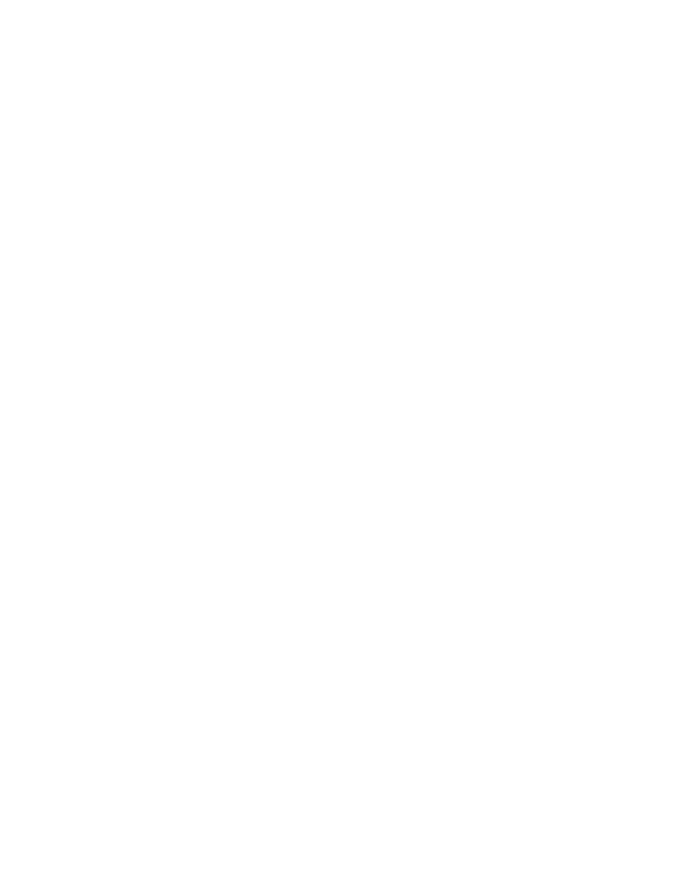other sensor or input data. In yet other embodiments of the invention, said data sets or mathematical transforms of said data sets may be relayed to yet other data collection units or remote data management systems for data storage, display or additional analysis, e.g. population based or group trend analysis.

[0031] The invention described herein includes methods and devices for determining the effective change in electrical (including but not limited to conductivity, permittivity, permeability), physical (including but not limited density, viscosity etc) or chemical (including but not limited Cl-, Na+,  $K+$  ions) properties of one or more inspected regions of tissue and/or bodily fluids. Change in these properties may correspond to changes in tissue structure such as changes in relative proportional volume of various heterogeneous components that comprise a living mammalian body. This change in structure results in a change in the time of flight of an applied electromagnetic signal through the inspected body region and/or a change in the power attenuation of the signal of the applied signal through this inspected body region. These changes in signal are useful to monitor relative changes in structures of dermal, transdermal or subdermal, or deep tissue regions of mammalian bodies. These changes may be, but are not limited to, changes associated with: normal bodily functions or processes, e.g. growth or development of tissues or organs, detection or development of disease states (e.g. detection of hypertension), the growth of tumors, or the monitoring of therapeutic regimens upon the measured region or aspects of the region (e.g. allograft or transplanted organ rejection). In certain embodiments, the relative change may be calibrated to allow quantification of this change, either in size and/or composition of the inspected region or parts thereof.

[0032] In an embodiment of the invention, the measurement device (transmitter, sensors plus circuitry) is affixed to a body site by means of adhesive. In alternate embodiments, the device or sensors may be affixed to the body by means of straps, clothing items or by anchoring directly to or beneath the skin or held against the skin by hand or other supports. In still other embodiments, the measurement device is not in direct contact with the surface of the skin. The scope of the invention is not limited to any one body site or means of affixing the device to the body or adjacent to or not in direct contact with the body.

[0033] In some embodiments of the invention, a second device, e.g. a data collection and display unit, may be in communication with the measurement device. Such communication may be bi-directional and include optical, electromagnetic, mechanical, electrical, and/or acoustic means. In one such embodiment of the invention, the antenna and/or aspects of the transmission circuitry utilized for measurements within the measurement device may also be employed for communication of the data set, or mathematical transforms of the data set, to one or more data collection units.

[0034] Comparator activities may be performed by systems located in the measurement device, located in the data collection unit, located in a remote data management system or collocated in any of these devices.

[0035] The monitoring period may extend from a relatively short period, e.g. fractions of seconds or minutes, to a more extended period, e.g. hours or days, dependent upon the purpose of monitoring and/or user acceptance. In alternative embodiments, the monitoring period may be periodic, e.g. for an hour or two distributed over a day or for a day or two distributed over months. The needs for such monitoring periods again may be set by the purpose of monitoring and/or user acceptance.

[0036] In accordance with the above, a method of detecting structure change is illustrated in FIG. 1. In this method, at block 11, electromagnetic waves are applied to a region of interest on a body at a plurality of different times. At block 13, a plurality of data sets are obtained form a plurality of measurements made at different times of the interaction of the electromagnetic waves with the tissue. At block 15, the data sets are compared to detect changes in the interaction. At block 17, structural changes are detected from the comparison of the data sets.

[0037] One form of electromagnetic wave that can be employed in embodiments of the invention is ultra wideband (UWB) radiation. However, the scope of the invention is not restricted to UWB but may also employ other forms electromagnetic waves, e.g. discrete bands of other frequencies. The circuitry, power sources and transmission requirements of UWB are well known to those skilled in the art of radio electronics. One representation of components for the measurement device is shown in FIGS. 2 and 3. As shown, a control element 10 is responsible for controlling the initiation of the electromagnetic wave signal, and the subsequent conversion of the reflection of the electromagnetic signal into a measurement data set. As shown in FIG. 3, the control element 10 may comprise a programmable gate array or digital signal processor  $10a$ . The control element  $10$  controls transmission circuitry 16 which transmits an input signal to a transmission antenna 18. The control element 10 may control various parameters of the transmitted UWB signal including the frequency, the duration, the power level as well as other parameters. The transmission circuitry 16 is electrically connected to the transmission antenna 18 which amplifies and directs the UWB signal to a measurement region 20 within a body 22. The measurement region 20 may be any general point of interest in any body. The transmitted signal 19 is shown reflecting off the measurement region 20 where the reflected signal 21 is then received by the reception antenna 14 and the reception circuitry 12. The control element also controls the reception circuitry 12.

[0038] In the example shown in FIG. 2, the transmitted signal 19 is shown to be reflected off of the measurement region 20. However, in some cases, the transmitted signal 19 may pass through the measurement region 20 and reflect off of another region, e.g., a bone. In addition, multiple reflected signals 21 may be received by the reception antenna 14 where the multiple reflections may be reflected off of multiple layers of tissue. The presence of a newly reflected signal at one time point that was not present in the data collected at a previous time point may be an indication of a new structure within the search region 20.

[0039] In addition to controlling the transmission circuitry 16 and the reception circuitry 12, the controlling element 10 also contains the comparator for determination of change in the measured region. Also shown are the corresponding signal transmission and reception circuit elements 16 and 12, respectively, as well as corresponding transmission and reception antennas 18 and 14, respectively, for the transmission and reception of the signals. A variety of arrangements of components may be employed in execution of the method of the invention, e.g. combined functionality within one circuit module or the use of a single transmission/reception antenna, and the method of this invention is not limited to any one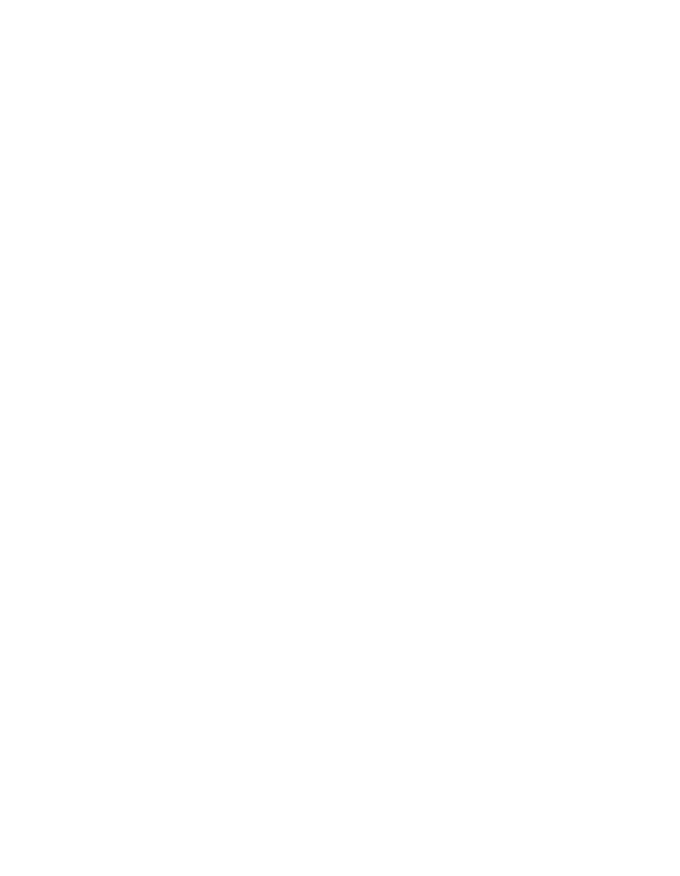method of execution. Likewise, in certain embodiments of the invention, a plurality of devices, or components, e.g. transmitters and/or receivers, may be employed to provide additional information of the region being measured.

[0040] In contrast to prior art electromagnetic interrogation/imaging systems, preferred embodiments of the invention compare data sets taken at different times to detect structural change, rather than attempting to detect or image a tissue region for immediate characterization at the time the measurement is made. To this end, a comparator subsystem 10b of the control element 10 may include both memory and logic circuitry to store data, thresholds, baselines, etc. and determine change between data sets. The comparator subsystem can be incorporated integrally with a single control logic circuit or can be separately provided and/or remote from the control circuitry for obtaining the measurement data.

[0041] Determinations of change may include the use of input threshold values, threshold set points determined by change from baseline value (or representation of one or more data points indicative of a baseline value). Alternatively, such comparator functions may include the use of mathematical transformations such as noise signal subtraction, or rolling or moving averages to determine trends in the data set and to allow adjustment for data taken at different points within the day, e.g. diurnal variation adjustment. Because a variety of non-structural phenomena such as movement, eating patterns, position, and the like can affect measurements without indicating actual structure changes, the data sets can be adjusted or compensated for known contributions of these kinds. In some embodiments, additional sensors such as timers, accelerometers, and other sensing devices can be included to facilitate detection of these factors and removing them from the structural change signal that is being measured. Still other forms of comparator activity may review populations or groups of data for the determination of initial baseline values and for trends of data sets or groups. The results of such comparator activity may be displayed graphically, e.g. showing baseline values and relative change from these values over time, including the projection of future trends.

[0042] In addition, the comparator subsystem may incorporate other factors, such as input parameters associated, e.g. weight, height, age, gender, disease status and medication history, fitness level, body site of device application, ethnicity, etc. or parameters derived from algorithms arising studies allowing further definition of change and/or the magnitude of such change. Such parameters may include factors relating subjective user or clinician perception of change to the measured bioparameter, either upon the event or periodically, e.g. daily.

[0043] In yet other embodiments of the invention, the comparator subsystem may include other factors including data derived from other measured bioparameters such as levels of circulating hormones or metabolites or activity measurements, or data obtained from environmental sensors, e.g. relative humidity, ambient temperature, etc. This invention may employ combinations of these as well as other factors and the scope of the invention is not limited to those factors and mathematical routines described herein.

[0044] The comparator subsystem may reside in a variety of locations. In one embodiment of the invention, the comparator may be contained either in part or in whole within circuitry necessary to acquire the data set. In other embodiments of the invention, the comparator may be located in a separate unit connected by wires to the sensors and/or sensor circuitry, e.g. the transceiver. In such embodiments, the sensors or sensor circuitry may have identities separate and distinct from the unit comprising in part or in whole the comparator activities. In still other embodiments of the invention, the location of comparator activities may shift in order to facilitate data analysis, e.g. to accommodate greater sophistication and/or larger data sets, or for other purposes, e.g. power management of devices, data collection units, etc.

[0045] In yet other embodiments of the invention, measured values or mathematical transforms, e.g. averages, or percentage change, of one or more measured bioparameters are transmitted through wireless means to a separate unit not necessarily located on the body. This separate unit may contain either in portion or entirely the appropriate elements and circuitry, e.g. transmission means, data storage and mathematical calculator functions and routines, to perform the comparator activities. Additional forms and locations for the comparator are readily conceivable and the scope of the invention is not limited to those described herein.

[0046] Upon determination of a change in status in the measured region, as well as the possible determination of the magnitude of such events, the comparator may be instructed to display such events to the subject, caregiver or third party individual. Display of any changes may also include the notification of no change as compared to all or a portion of the data set. Such displays may include visual displays, e.g. anatomical maps of the region including two dimensional and three dimensional representations, blinking or multicolored lights, numeric indices, graphs, or charts, audible sounds or mechanical forms, e.g. vibrations. Such displays may be located on the on-body measurement device, a local data collection unit or at a remote location connected to either the on-body measurement device or a local data collection unit by wireless or wired means.

 $[0047]$  In addition to possibly displaying the change, the comparator may store the event description, including date/ time, magnitude and user identification, in a data storage. Such data storage may include electronic memory, magnetic tape or disk memory, optical memory or other form of retrievable memory. Such data may be retrieved from storage either on command or periodically from the memory storage. In certain embodiments, such retrieval may be through wireless means, e.g. infrared or radio frequency based data transmission or in other embodiments, such retrieval may be through wired means, e.g. by use of a docking station attached to a computer or by serial cable linkage to a computer.

[0048] UWB systems transmit signals across a much wider frequency than conventional systems. The amount of spectrum occupied by a UWB signal, i.e. the bandwidth of the UWB signal can be about 25% of the center frequency or more. Thus, a UWB signal centered at 2 GHz could have a bandwidth of about 500 MHz and the bandwidth of a UWB signal centered at 4 GHz could be about 1 GHz. The most common technique for generating a UWB signal is to transmit pulses with durations less than 1 nanosecond. In preferred embodiments, at least some of the applied electromagnetic waves are within a frequency range between about 1 GHz to about 100 GHz.

[0049] Using a UWB system, one can non-invasively and without touching the surface of the skin, evaluate the gross anatomy of internal organs in the body. UWB uses short pulses and reflections, i.e. reflected signal strength and/or delay in signal time of flight, of these pulses from different layers inside the body to obtain morphological information of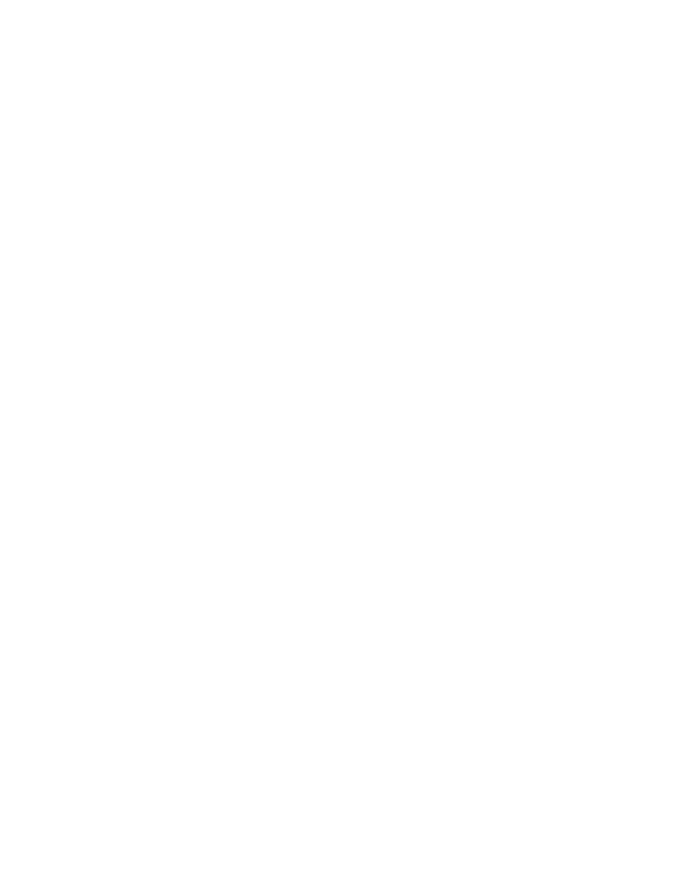the anatomical structures and their movement deep inside the body. Some typical applications that could utilize UWB signals for evaluation are heart wall movement, respiration, and obstetrics.

[0050] The main advantages of UWB over other technologies such as ultrasound are the following:

- [0051] UWB signals do not need to be in contact with the skin because they are less affected by transmission through air than sound waves.
- [0052] UWB signals do not attenuate in the bone and hence can obtain information inside cavities covered by bone, such as the brain.
- [0053] UWB signals can be used to collect data through non-conductive material such as cloth, bedding, hazmat suits, or body armor.
- [0054] UWB signals can be realized with a small number of inexpensive components enabling low power, portable applications.

[0055] As noted above, the UWB measurement system detects the changes in the structure of the tissue by examining signal reflections from the tissue layers. For example, a transmitter sends a UWB pulse and then receives the pulse reflections from the different layers of the tissue. Because the speed of the UWB radar is different in different types of tissues (e.g. the signal propagation is approximately 2.25 times faster in fat than in muscle) and the layers of tissue are at different depths, the reflections from the tissue layers reach the receiver at different times and have different amplitudes. Further, the attenuation of the signal as it travels through the tissue gives the density information of the tissue. For example, when placed next to a limb including a bone, as shown FIG. 4, the UWB radar measurement system 100 can assess any changes in volume in the various layers by measuring the time delay of the received pulses and their amplitude relative to the corresponding parameters during baseline evaluation. The layers shown in FIG. 4 include a skin layer 1, a dermal layer 2, a fat and connective tissue layer 3, a muscle layer 4 and a fascial layer 5. Other layers may also be evaluated.

[0056] FIG. 5 illustrates an example of how a UWB pulse travels through tissue and how structural change in the tissue can affect the amplitude and delay of the reflected pulses. This is because different types of tissue with different structures have different permittivity, resulting in slowing of the pulse by different amounts depending on relative tissue volumes and positions. Additionally, there are typically amplitude changes in the reflected waves.

[0057] As shown in FIG. 5, a first baseline measurement is made and is depicted as a transmitted signal 34A and a reflected signal 34B. The transmitted signal 34A starts at a position 1 cm above the skin (listed as a depth of 0.0 on the horizontal axis). The signal 34A is shown passing through a skin layer from 1.0 cm to about 1.1 cm, a sub-dermal layer from about 1.1 cm to abut 1.4 cm, a fat layer from about 1.4 em to about 1.9 cm, and a muscle layer from about 1.9 cm to about 3.9 cm, where the transmitted signal 34A is shown reflecting off of the bone layer resulting in the baseline reflected signal 34B. The reflected signal 34B then passes through the other layers and experiences various delays and attenuations based on the type and positions of material in each layer. It should be noted that FIG. 5 shows only one reflected signal, but this is done for purpose of clarity and skilled technologists will recognize that multiple reflected signals may be received and analyzed.

[0058] The baseline reflected signal 34B has a time of flight of about 1.3 nanoseconds to progress through the different layers from transmission to reception. At a later time, a second measurement is made and a transmitted signal 32A is directed into the same region for a subsequent measurement. The transmitted signal 32A is then reflected off the bone layer and is received by the measurement system 100. In this second measurement, the transmitted signal 32A and the reflected signal 32B are delayed substantially compared to the baseline transmitted signal 34A and reflected signal 34B. In this case the round trip time of flight is about 1.5 nanoseconds for the signals 32A and 32B compared to 1.3 nanoseconds for the baseline signals 34A and 34B. In addition to the delay in the signal, the amplitude of the signal may also be different (not shown in FIG. 5) which may also be analyzed to identify possible sources of attenuation.

[0059] As discussed above, other energy forms may also be used in the measurement system 100, depending on the embodiment. Other energy forms that may be used by the measurement system 100 to evaluate the tissues will now be discussed. These other forms of measurement may be used to help correlate changes in the UWB measurement to actual and specific structural changes of interest in underlying tissue. In some embodiments of the invention, a single detection instrument such as a patch or handheld device includes electrodes, transducers, antennas, etc. and control circuitry for both UWB interrogation and interrogation with one or more other energy forms that provide complementary tissue content or structure information. In these and similar embodiments using multiple modalities, methods of measuring structural change may comprise deriving a plurality of data sets for both the electromagnetic wave interaction and the other from of energy interaction. Changes in both data sets are detected, from which structural changes can be detected.

[0060] High Frequency Electromagnetic Radiation

[0061] Electromagnetic radiation at higher frequencies, such as terahertz radiation, or higher, e.g. infrared light, could potentially be used to monitor changes in superficial tissue structure and content. This may be achieved by monitoring the amplitude of reflected radiation from the tissue surface. Any changes in the structure or content (such as edema) can be detected because of absorption by water in the tissues.

# [0062] Acoustic Radiation

[0063] Although acoustic waves are mechanical waves, similar wave propagation principles could be used to detect changes in tissue structure and content. The speed of the acoustic wave in any material is related to temperature, the elastic properties of the material, and the material's density. Thus, any changes in the constituents of the tissue due to its changing physiology or morphology that are reflected by a change of its properties can be detected by using acoustic waves. In one embodiment, the invention comprises equipment configured to focus acoustic waves comprising frequencies in a range from about 1 kHz to about 100 kHz (high bandwidth short pulses or high bandwidth longer time signals composed of multiple frequencies like "chirps") on tissues and monitor the transmitted and the reflected waves from the tissue. Depending on the type of application, three different methods of analyses are possible, a) Wave attenuation while passing through the tissue; b) Attenuation of reflected waves; and c) Phase difference between transmitted and reflected waves after reflection of a boundary, such as between bone and tissue. Additionally, any temperature changes inside the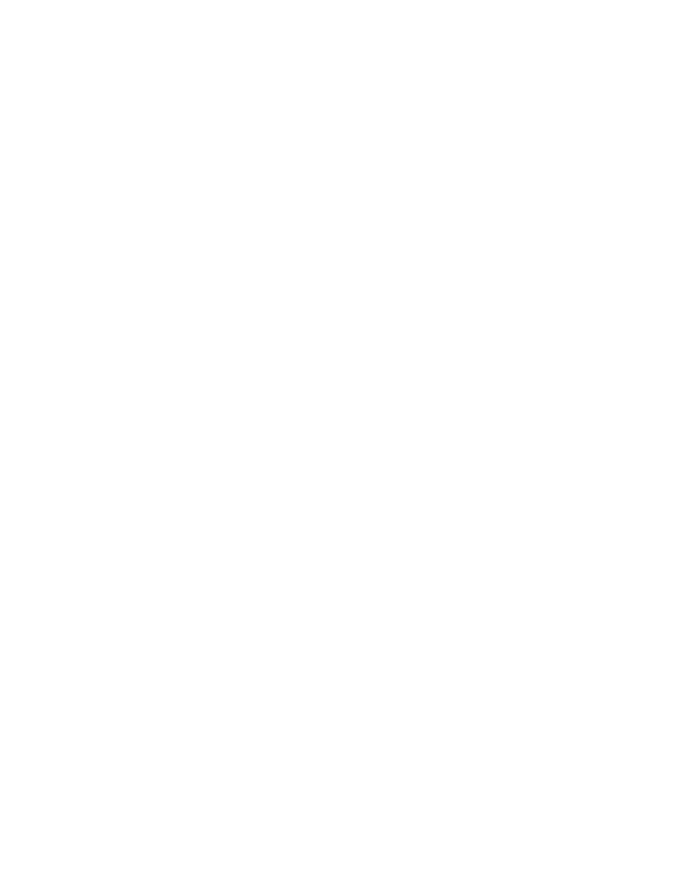tissue due to inflammation or an infection response could be tracked because the speed of sound changes with temperature.

[0064] The method and devices for applying acoustic signals to one or more regions of the body are well known to those skilled in the art of acoustic signal generation and interpretation, including sonography. It will be appreciated, however, that ultrasound imaging is not necessary to perform the desired function in assessing content or other changes that correlate (either positively or negatively) with the structural changes of interest. In fact, ultrasound images would require complex and expensive equipment that is generally not required for use with the present methods.

[0065] Bioelectric Impedance Signals

[0066] In another embodiment of the invention, bioelectric impedance of the tissues of interest can be used to monitor the changes in tissue structure and content. This is achieved by passing electrical current through the tissue of interest and measuring the voltage drop across the tissue (or by exciting the tissue with a sinusoidal voltage and measuring the current through the tissue) and calculating the impedance of the tissue to the current flow. Changes in the amplitude of the measured signal as well as the phase difference between the voltage and current signals depend on the tissue properties. As the tissue structure changes (e.g., due to scar tissue growth, tumors etc) and/or content changes (e.g., due to edema, fat/muscle ratio etc), the amplitude of the impedance as well as the phase with respect to the current or voltage excitation change and can be monitored. Additionally, DC signals could also be used for obtaining the changes in the resistance of the tissue. For bio-electrical impedance, focusing of energy (or controlling the volume of measurement) may be achieved by changing the geometry of the electrodes used for driving the current and measuring the voltage. The method and devices for delivering and receiving electrical signals to one or more regions of the body, including necessary electrodes and circuitry, are well known to those skilled in the art of bioelectric impedance. Reference may be made to U.S. Publication Number 2005/0070778, which is hereby incorporated by reference in its entirety.

#### [0067] General Use

[0068] The measurement and storage of energy pulses or signals of any frequency comprise a data set which may include reference to time of measurement and/or location of measurement. Such measurement and storage activities may include transformation of the raw data. Such transformations may be useful, allowing facilitated storage of the data set, e.g. data compression, or otherwise facilitate transmission and/or analysis of the data set by the comparator. Signals for use by the comparator may be from one or more of applied energy sources, e.g. radiofrequency, acoustic, electrical or optical. In addition, these signals may be utilized in various combinations over time to provide greater insight into dynamically changing body regions or tissues, e.g. inspection of suspected tumors may be first registered using forms of radiofrequency energy detecting the presence of tissue of differing density. Subsequent observations may include impedance measurements to gauge the increased swelling, blood flow or edema around this site to more accurately provide a trend analysis of change over time.

[0069] In some embodiments of the invention, fiducial marker aids, signal alignment aids and/or signal improvement aids may be employed. These aids may include the use of mapping of body regions using electromagnetic signals or other techniques, e.g. MRI, to establish points of reference within data sets or provide aids to more precisely position the measurement device on the body. Employment of these points of reference thereby improves alignment of data sets enabling change in the target region to be more precisely determined. In alternate forms, these aids may include the use of passive or active devices affixed to or implanted within the mammalian body. These aids may provide reference signals or otherwise serve as landmarks to target the measurement device and/or data set. The fiduciary aids may include, but are not limited to: optical alignment aids, e.g. tattoos; signal reflective aids, e.g. implanted metal reflectors or conductive inks; inductively charged implanted radiofrequency transceivers; or implanted acoustic transmitters. Such aids may be arranged in geometric patterns, e.g. cross-hatched, to improve both interpretation of on-body position, e.g. signal alignment, and signal complexity in a known fashion through a three dimensional space to aid subsequent comparator activities.

[0070] In certain other related embodiments of the invention, materials either implanted or positioned about the inspected region, may be utilized to aid in the measurement process. For instance, these materials may be utilized to focus the electrical/electromagnetic/acoustic waves through regions of interest or may serve as a highly reflective target behind the region of interest, thereby increasing the effective signal strength of the applied electrical/electromagnetic/ acoustic waves.

[0071] In other embodiments of the invention, the transmitter elements of the measurement device may have an identity assigned to it. Such identity may include the ability to determine antenna geometries and transmission frequencies. Likewise, other portions of electronic circuitry may have additional identities assigned to the remaining components of the circuitry. Such identities may be useful for enabling construction of disposable and reusable assemblies within the device and allow tracking of said assemblies. Also, such identities allow subsequent identification of the use of the device and form of the device in managing the data sets and coordinating findings of the comparator to the individual measured subject. In addition, such identities may have use in the assignment of encryption keys or other needs for secure transmission of information and assignment/display of the measured data sets.

#### [0072] Use and Applications

[0073] In use, the measurement device or devices may be affixed to the subject or positioned about the subject and the device activated by means of a switch or other form of activation. The activation may take place prior to affixing the measurement device to the user. Such activation may also include the use of aids or other alignment tools to ensure correct positioning of measurements. Activation may yet further include activation by means of a switch or other means of a local data collection unit in wireless communication with the measurement device. In such embodiments, an identifier, e.g. a code or serial number, may be used to identify the measurement device to the data collection unit. Such identifiers may include further identifiers detailing the specification of one or more of the measurement sensors. Such identifiers may be transmitted automatically to the data collection unit upon activation or in alternate applications, may be input manually into the data collection unit.

[0074] In other embodiments, a single data collection unit may be in communication with a plurality of measurement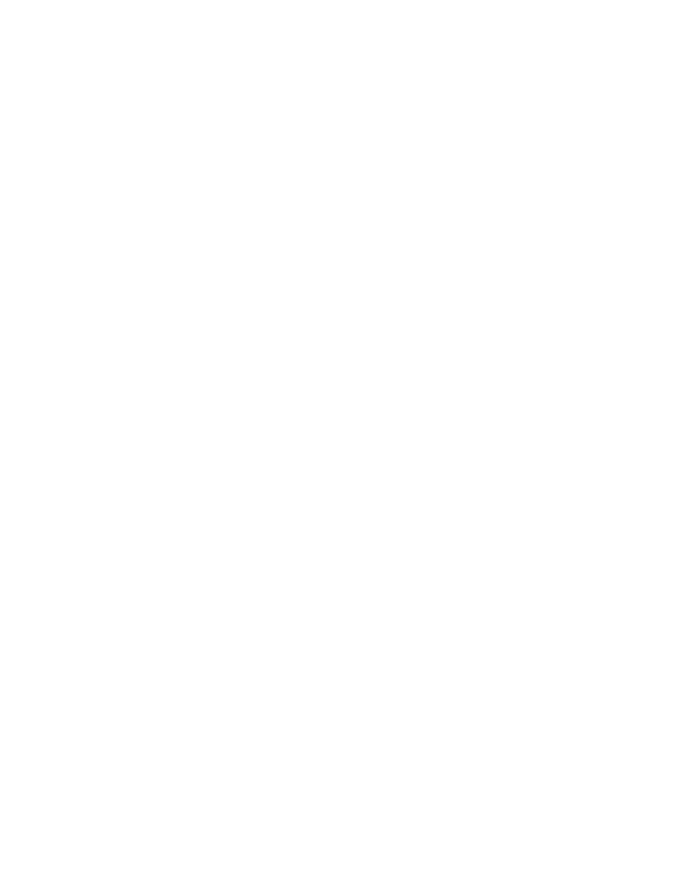devices located on or associated with more than one user. In such embodiments, the activation may include an identification means allowing identification of the user in addition to identification of the measurement device.

[0075] Upon activation, the measurement device may periodically or upon command obtain measured data from one or more body regions. The monitoring period per data set may be seconds, e.g. every second, or longer, dependent upon the nature of the bioparameter being measured for change. In other embodiments, the monitoring frequency may automatically adjust, dependent upon the rate of change in the desired portion of the measured region. In addition, different devices may have different configurations of sensors and/or different monitoring frequencies applied to the same subject. The measured data may be supplied directly to the comparator for analysis or it may be processed in some form prior to being supplied to the comparator for determination of change and/ or magnitude of such change.

[0076] Applications of electromagnetic or other forms of energy waves for monitoring of change of one or more regions of a mammalian body include, but are not limited to:

- [0077] Monitoring for change in body hydration and/or electrolyte levels over time, including detection of detrimental levels of systemic hydration, projection of future hydration status and recovery or return to acceptable levels of fluid and/or total ion composition levels of bodily fluids.
- [0078] Monitoring for jugular vein distension associated with hypertension such as period measurements separated by intervals shorter than the determined heart rate to permit assessment of the magnitude of vascular distension (change) due to blood pressure.
- [0079] Monitoring of internal organs, including heart, kidney or liver for changes such as fluid infiltration/local edema associated with organ failure and/or allograft rejection.
- [0080] Monitoring of ovarian development/folliculogenesis during the menstrual cycle to aid in the determination of proper timing for the administration of drugs associated with fertility and/or pregnancy.
- [0081] Monitoring of wounds and/or scar tissue associated with wounds to aid in the detection of infection, impaired healing or to guide timing of wound treatments, e.g. debridement or for wound staging to determine the extent of deep tissue injury.
- [0082] Monitoring of body locations, e.g. sacrum, hips or heels, to detect changes in underlying tissue fluid status associated with the pre-emergence of ulcers or other forms of skin/tissue disease states.
- [0083] Monitoring of fluid build-up or change in internal body compartments, organs or muscle groups, e.g. internal hemorrhage or compartment syndrome, associated with disease state, trauma or surgical interventions to allow more effective detection and subsequent therapeutic response.
- [0084] Detection of fluid build-up over time associated with the onset and/or progression of cardiogenic or noncardiogenic pulmonary edema.
- [0085] Detection of body composition change, e.g. change in muscle composition associated with wasting diseases such as HIV disease progression or muscular dystrophy caused by neuromuscular disorders.
- [0086] Monitoring stenosis or occlusion of blood vessels, or implanted vascular devices e.g. venous grafts.

[0087] Additional applications may also include providing a user of the device with quantitative feedback regarding the magnitude of the measured change and any periodic nature to this change, e.g. time of day, such that the user may selfmedicate in order to relieve the symptoms or otherwise take some form of therapeutic action associated with the change in the underlying bioparameter. Alternatively, the use of remote data management systems receiving data from one or more data collection units may permit clinician adjusted therapy changes from a remote location upon review of the data sets and output of comparator activities.

[0088] While the above detailed description has shown, described, and pointed out novel features of the invention as applied to various aspects, it will be understood that various omissions, substitutions, and changes in the form and details of the device or process illustrated may be made by those skilled in the art without departing from the scope of this disclosure. As will be recognized, the invention may be embodied within a form that does not provide all of the features and benefits set forth herein, as some features may be used or practiced separately from others. The scope of this disclosure is defined by the appended claims, the foregoing description, or both. All changes which come within the meaning and range of equivalency of the claims are to be embraced within their scope.

What is claimed is:

1. A method of detecting a physiological condition in a portion of a subject; the method comprising:

- applying electromagnetic waves having frequencies within a range of about 1 GHz to about 100 GHz to a region of the subject at a plurality of points in time;
- deriving a plurality of data sets from measured parameters of interaction between the region of the subject and the electromagnetic waves at the plurality of points in time, wherein the content of the data sets is dependent at least in part on tissue structure in the region at the plurality of points in time:
- comparing the plurality of data sets to detect a change over time in the interaction between the region of the subject and the electromagnetic waves; and
- detecting a change in tissue structure in the region of the subject based at least in part on the comparing.

2. The method of claim 1, wherein the electromagnetic waves comprise ultra wideband radio signals.

3. The method of claim 1 wherein the electromagnetic waves comprise signals of frequency bands other than ultra wideband radio signals.

4. The method of claim 1, wherein detecting the change in tissue structure comprises detecting one or more of scar tissue growth, tumors, and fractures.

5. The method of claim 1, wherein said detected change is associated with a healing wound.

6. The method of claim 1, where said detected change is associated with compartment syndrome.

7. The method of claim 1, wherein said detected change is a change in transplant organ status.

8. The method of claim 1, wherein said detected change is change in ovary dimension.

9. The method of claim 1, further comprising employing fiducial points or alignment aids.

10. A method of determining detecting a physiological condition in a portion of a subject; the method comprising: